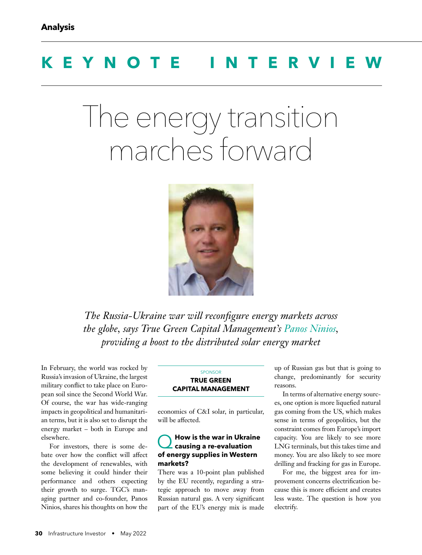# **KEYNOTE INTERV**

# The energy transition marches forward



*The Russia-Ukraine war will reconfigure energy markets across the globe, says True Green Capital Management's Panos Ninios, providing a boost to the distributed solar energy market*

In February, the world was rocked by Russia's invasion of Ukraine, the largest military conflict to take place on European soil since the Second World War. Of course, the war has wide-ranging impacts in geopolitical and humanitarian terms, but it is also set to disrupt the energy market – both in Europe and elsewhere.

For investors, there is some debate over how the conflict will affect the development of renewables, with some believing it could hinder their performance and others expecting their growth to surge. TGC's managing partner and co-founder, Panos Ninios, shares his thoughts on how the

#### **SPONSOR TRUE GREEN CAPITAL MANAGEMENT**

economics of C&I solar, in particular, will be affected.

## Q**How is the war in Ukraine causing a re-evaluation of energy supplies in Western markets?**

There was a 10-point plan published by the EU recently, regarding a strategic approach to move away from Russian natural gas. A very significant part of the EU's energy mix is made up of Russian gas but that is going to change, predominantly for security reasons.

In terms of alternative energy sources, one option is more liquefied natural gas coming from the US, which makes sense in terms of geopolitics, but the constraint comes from Europe's import capacity. You are likely to see more LNG terminals, but this takes time and money. You are also likely to see more drilling and fracking for gas in Europe.

For me, the biggest area for improvement concerns electrification because this is more efficient and creates less waste. The question is how you electrify.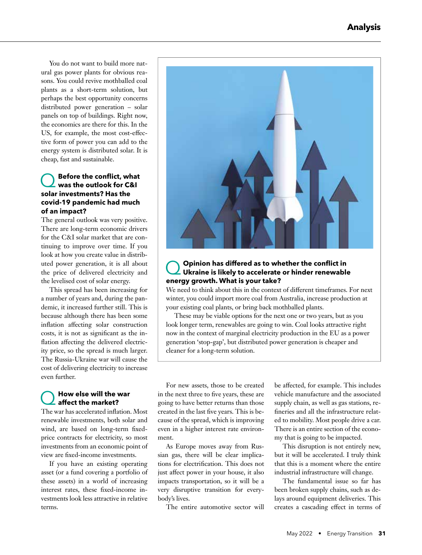You do not want to build more natural gas power plants for obvious reasons. You could revive mothballed coal plants as a short-term solution, but perhaps the best opportunity concerns distributed power generation – solar panels on top of buildings. Right now, the economics are there for this. In the US, for example, the most cost-effective form of power you can add to the energy system is distributed solar. It is cheap, fast and sustainable.

## **Q** Before the conflict, what<br>was the outlook for C&I **solar investments? Has the covid-19 pandemic had much of an impact?**

The general outlook was very positive. There are long-term economic drivers for the C&I solar market that are continuing to improve over time. If you look at how you create value in distributed power generation, it is all about the price of delivered electricity and the levelised cost of solar energy.

This spread has been increasing for a number of years and, during the pandemic, it increased further still. This is because although there has been some inflation affecting solar construction costs, it is not as significant as the inflation affecting the delivered electricity price, so the spread is much larger. The Russia-Ukraine war will cause the cost of delivering electricity to increase even further.

### Q**How else will the war affect the market?**

The war has accelerated inflation. Most renewable investments, both solar and wind, are based on long-term fixedprice contracts for electricity, so most investments from an economic point of view are fixed-income investments.

If you have an existing operating asset (or a fund covering a portfolio of these assets) in a world of increasing interest rates, these fixed-income investments look less attractive in relative terms.



# **Q Opinion has differed as to whether the conflict in**<br>Ukraine is likely to accelerate or hinder renewable **energy growth. What is your take?**

We need to think about this in the context of different timeframes. For next winter, you could import more coal from Australia, increase production at your existing coal plants, or bring back mothballed plants.

These may be viable options for the next one or two years, but as you look longer term, renewables are going to win. Coal looks attractive right now in the context of marginal electricity production in the EU as a power generation 'stop-gap', but distributed power generation is cheaper and cleaner for a long-term solution.

For new assets, those to be created in the next three to five years, these are going to have better returns than those created in the last five years. This is because of the spread, which is improving even in a higher interest rate environment.

As Europe moves away from Russian gas, there will be clear implications for electrification. This does not just affect power in your house, it also impacts transportation, so it will be a very disruptive transition for everybody's lives.

The entire automotive sector will

be affected, for example. This includes vehicle manufacture and the associated supply chain, as well as gas stations, refineries and all the infrastructure related to mobility. Most people drive a car. There is an entire section of the economy that is going to be impacted.

This disruption is not entirely new, but it will be accelerated. I truly think that this is a moment where the entire industrial infrastructure will change.

The fundamental issue so far has been broken supply chains, such as delays around equipment deliveries. This creates a cascading effect in terms of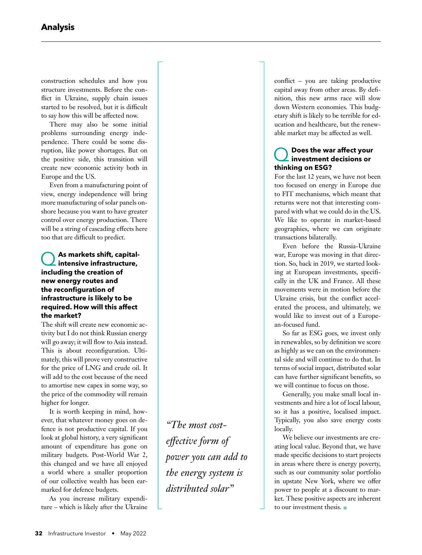construction schedules and how you structure investments. Before the conflict in Ukraine, supply chain issues started to be resolved, but it is difficult to say how this will be affected now.

There may also be some initial problems surrounding energy independence. There could be some disruption, like power shortages. But on the positive side, this transition will create new economic activity both in Europe and the US.

Even from a manufacturing point of view, energy independence will bring more manufacturing of solar panels onshore because you want to have greater control over energy production. There will be a string of cascading effects here too that are difficult to predict.

#### As markets shift, capital**intensive infrastructure, including the creation of new energy routes and**  the reconfiguration of **infrastructure is likely to be required. How will this affect the market?**

The shift will create new economic activity but I do not think Russian energy will go away; it will flow to Asia instead. This is about reconfiguration. Ultimately, this will prove very constructive for the price of LNG and crude oil. It will add to the cost because of the need to amortise new capex in some way, so the price of the commodity will remain higher for longer.

It is worth keeping in mind, however, that whatever money goes on defence is not productive capital. If you look at global history, a very significant amount of expenditure has gone on military budgets. Post-World War 2, this changed and we have all enjoyed a world where a smaller proportion of our collective wealth has been earmarked for defence budgets.

As you increase military expenditure – which is likely after the Ukraine

*"The most cost*effective form of *power you can add to the energy system is distributed solar"*

conflict – you are taking productive capital away from other areas. By definition, this new arms race will slow down Western economies. This budgetary shift is likely to be terrible for education and healthcare, but the renewable market may be affected as well.

#### Q**Does the war affect your investment decisions or thinking on ESG?**

For the last 12 years, we have not been too focused on energy in Europe due to FIT mechanisms, which meant that returns were not that interesting compared with what we could do in the US. We like to operate in market-based geographies, where we can originate transactions bilaterally.

Even before the Russia-Ukraine war, Europe was moving in that direction. So, back in 2019, we started looking at European investments, specifically in the UK and France. All these movements were in motion before the Ukraine crisis, but the conflict accelerated the process, and ultimately, we would like to invest out of a European-focused fund.

So far as ESG goes, we invest only in renewables, so by definition we score as highly as we can on the environmental side and will continue to do that. In terms of social impact, distributed solar can have further significant benefits, so we will continue to focus on those.

Generally, you make small local investments and hire a lot of local labour, so it has a positive, localised impact. Typically, you also save energy costs locally.

We believe our investments are creating local value. Beyond that, we have made specific decisions to start projects in areas where there is energy poverty, such as our community solar portfolio in upstate New York, where we offer power to people at a discount to market. These positive aspects are inherent to our investment thesis.  $\blacksquare$